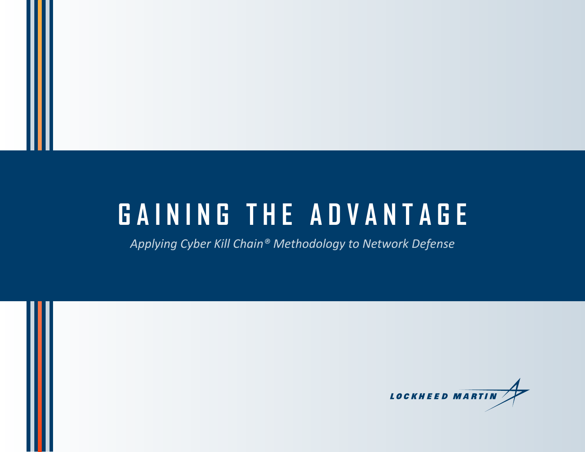# **GAINING THE ADVANTAGE**

*Applying Cyber Kill Chain® Methodology to Network Defense*

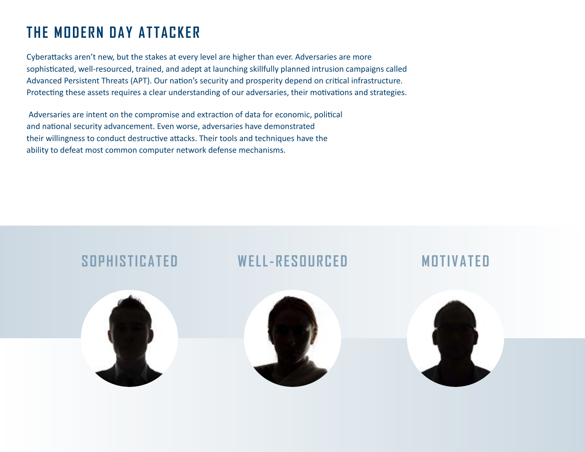### **THE MODERN DAY ATTACKER**

Cyberattacks aren't new, but the stakes at every level are higher than ever. Adversaries are more sophisticated, well-resourced, trained, and adept at launching skillfully planned intrusion campaigns called Advanced Persistent Threats (APT). Our nation's security and prosperity depend on critical infrastructure. Protecting these assets requires a clear understanding of our adversaries, their motivations and strategies.

 Adversaries are intent on the compromise and extraction of data for economic, political and national security advancement. Even worse, adversaries have demonstrated their willingness to conduct destructive attacks. Their tools and techniques have the ability to defeat most common computer network defense mechanisms.

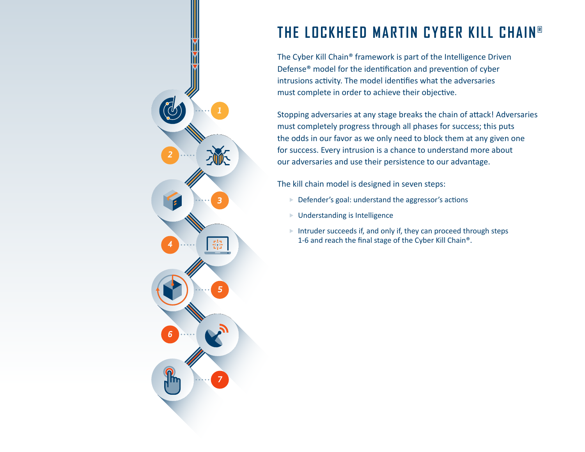### **THE LOCKHEED MARTIN CYBER KILL CHAIN ®**

The Cyber Kill Chain® framework is part of the Intelligence Driven Defense® model for the identification and prevention of cyber intrusions activity. The model identifies what the adversaries must complete in order to achieve their objective.

Stopping adversaries at any stage breaks the chain of attack! Adversaries must completely progress through all phases for success; this puts the odds in our favor as we only need to block them at any given one for success. Every intrusion is a chance to understand more about our adversaries and use their persistence to our advantage.

The kill chain model is designed in seven steps:

- $\blacktriangleright$  Defender's goal: understand the aggressor's actions
- $\blacktriangleright$  Understanding is Intelligence

*2*

*4*

*6*

*3*

됍

*5*

*7*

 $\blacktriangleright$  Intruder succeeds if, and only if, they can proceed through steps 1-6 and reach the final stage of the Cyber Kill Chain®.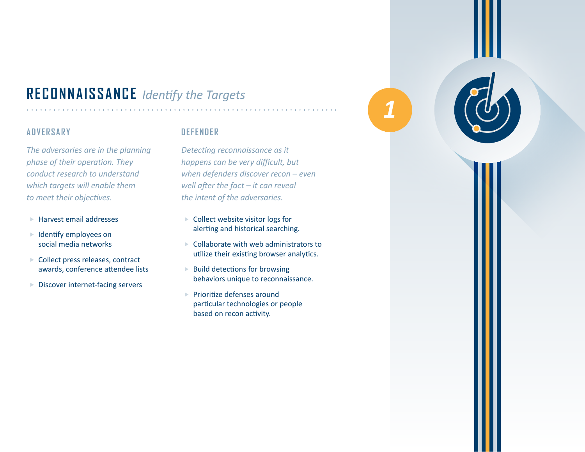### **RECONNAISSANCE** *Identify the Targets*

#### **ADVERSARY**

*The adversaries are in the planning phase of their operation. They conduct research to understand which targets will enable them to meet their objectives.*

- $\blacktriangleright$  Harvest email addresses
- $\blacktriangleright$  Identify employees on social media networks
- $\blacktriangleright$  Collect press releases, contract awards, conference attendee lists
- $\blacktriangleright$  Discover internet-facing servers

#### **DEFENDER**

*Detecting reconnaissance as it happens can be very difficult, but when defenders discover recon – even well after the fact – it can reveal the intent of the adversaries.*

- $\blacktriangleright$  Collect website visitor logs for alerting and historical searching.
- $\triangleright$  Collaborate with web administrators to utilize their existing browser analytics.
- $\blacktriangleright$  Build detections for browsing behaviors unique to reconnaissance.
- $\blacktriangleright$  Prioritize defenses around particular technologies or people based on recon activity.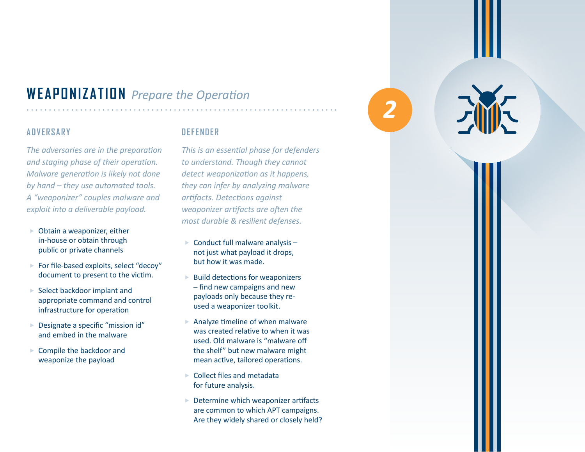### **WEAPONIZATION** *Prepare the Operation*

#### **ADVERSARY**

*The adversaries are in the preparation and staging phase of their operation. Malware generation is likely not done by hand – they use automated tools. A "weaponizer" couples malware and exploit into a deliverable payload.* 

- $\triangleright$  Obtain a weaponizer, either in-house or obtain through public or private channels
- $\blacktriangleright$  For file-based exploits, select "decoy" document to present to the victim.
- Select backdoor implant and appropriate command and control infrastructure for operation
- Designate a specific "mission id" and embed in the malware
- Compile the backdoor and weaponize the payload

#### **DEFENDER**

*This is an essential phase for defenders to understand. Though they cannot detect weaponization as it happens, they can infer by analyzing malware artifacts. Detections against weaponizer artifacts are often the most durable & resilient defenses.*

- $\triangleright$  Conduct full malware analysis not just what payload it drops, but how it was made.
- $\blacktriangleright$  Build detections for weaponizers – find new campaigns and new payloads only because they reused a weaponizer toolkit.
- Analyze timeline of when malware was created relative to when it was used. Old malware is "malware off the shelf" but new malware might mean active, tailored operations.
- $\triangleright$  Collect files and metadata for future analysis.
- $\triangleright$  Determine which weaponizer artifacts are common to which APT campaigns. Are they widely shared or closely held?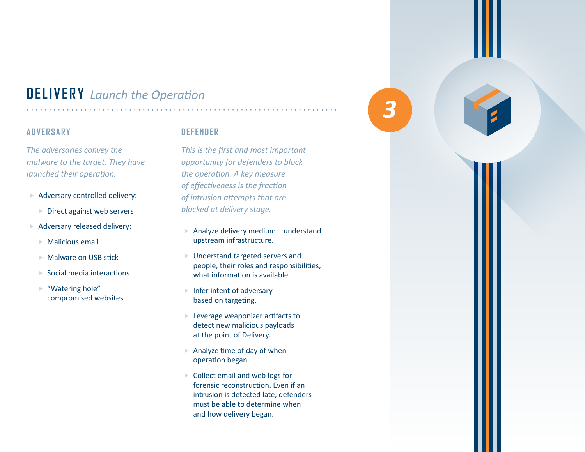### **DELIVERY** *Launch the Operation*

#### **ADVERSARY**

*The adversaries convey the malware to the target. They have launched their operation.* 

- $\blacktriangleright$  Adversary controlled delivery:
	- $\blacktriangleright$  Direct against web servers
- $\blacktriangleright$  Adversary released delivery:
	- $\triangleright$  Malicious email
	- $\blacktriangleright$  Malware on USB stick
	- $\blacktriangleright$  Social media interactions
	- $\blacktriangleright$  "Watering hole" compromised websites

#### **DEFENDER**

*This is the first and most important opportunity for defenders to block the operation. A key measure of effectiveness is the fraction of intrusion attempts that are blocked at delivery stage.*

- Analyze delivery medium understand upstream infrastructure.
- $\blacktriangleright$  Understand targeted servers and people, their roles and responsibilities, what information is available.
- $\blacktriangleright$  Infer intent of adversary based on targeting.
- $\blacktriangleright$  Leverage weaponizer artifacts to detect new malicious payloads at the point of Delivery.
- $\blacktriangleright$  Analyze time of day of when operation began.
- $\triangleright$  Collect email and web logs for forensic reconstruction. Even if an intrusion is detected late, defenders must be able to determine when and how delivery began.

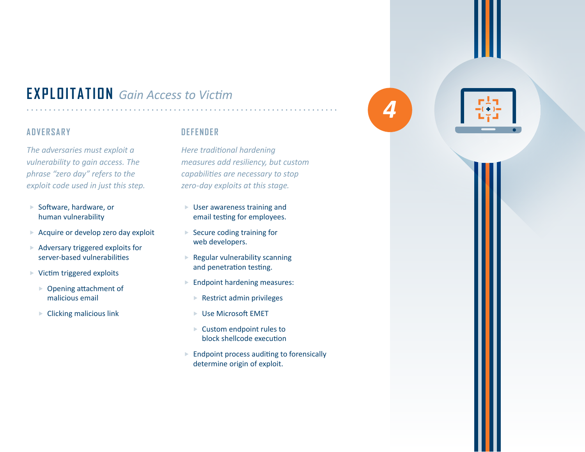### **EXPLOITATION** *Gain Access to Victim*

#### **ADVERSARY**

*The adversaries must exploit a vulnerability to gain access. The phrase "zero day" refers to the exploit code used in just this step.* 

- $\blacktriangleright$  Software, hardware, or human vulnerability
- $\triangleright$  Acquire or develop zero day exploit
- $\blacktriangleright$  Adversary triggered exploits for server-based vulnerabilities
- $\triangleright$  Victim triggered exploits
	- $\triangleright$  Opening attachment of malicious email
	- $\blacktriangleright$  Clicking malicious link

#### **DEFENDER**

*Here traditional hardening measures add resiliency, but custom capabilities are necessary to stop zero-day exploits at this stage.*

- $\blacktriangleright$  User awareness training and email testing for employees.
- $\blacktriangleright$  Secure coding training for web developers.
- $\blacktriangleright$  Regular vulnerability scanning and penetration testing.
- $\blacktriangleright$  Endpoint hardening measures:
	- $\blacktriangleright$  Restrict admin privileges
	- $\blacktriangleright$  Use Microsoft EMET
	- $\blacktriangleright$  Custom endpoint rules to block shellcode execution
- $\blacktriangleright$  Endpoint process auditing to forensically determine origin of exploit.

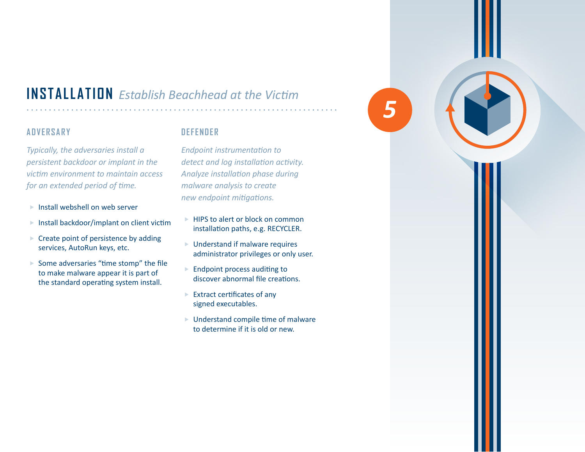### **INSTALLATION** *Establish Beachhead at the Victim*

#### **ADVERSARY**

*Typically, the adversaries install a persistent backdoor or implant in the victim environment to maintain access for an extended period of time.* 

- $\blacktriangleright$  Install webshell on web server
- $\blacktriangleright$  Install backdoor/implant on client victim
- $\triangleright$  Create point of persistence by adding services, AutoRun keys, etc.
- $\blacktriangleright$  Some adversaries "time stomp" the file to make malware appear it is part of the standard operating system install.

#### **DEFENDER**

*Endpoint instrumentation to detect and log installation activity. Analyze installation phase during malware analysis to create new endpoint mitigations.*

- $\blacktriangleright$  HIPS to alert or block on common installation paths, e.g. RECYCLER.
- $\blacktriangleright$  Understand if malware requires administrator privileges or only user.
- $\blacktriangleright$  Endpoint process auditing to discover abnormal file creations.
- $\blacktriangleright$  Extract certificates of any signed executables.
- $\blacktriangleright$  Understand compile time of malware to determine if it is old or new.

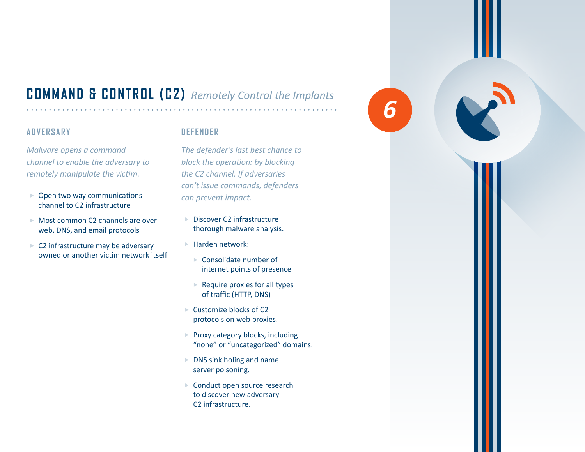### **COMMAND & CONTROL (C2)** *Remotely Control the Implants*

#### **ADVERSARY**

*Malware opens a command channel to enable the adversary to remotely manipulate the victim.* 

- $\triangleright$  Open two way communications channel to C2 infrastructure
- $\triangleright$  Most common C2 channels are over web, DNS, and email protocols
- $\triangleright$  C2 infrastructure may be adversary owned or another victim network itself

#### **DEFENDER**

*The defender's last best chance to block the operation: by blocking the C2 channel. If adversaries can't issue commands, defenders can prevent impact.*

- $\blacktriangleright$  Discover C2 infrastructure thorough malware analysis.
- $\blacktriangleright$  Harden network:
	- $\blacktriangleright$  Consolidate number of internet points of presence
	- $\blacktriangleright$  Require proxies for all types of traffic (HTTP, DNS)
- $\blacktriangleright$  Customize blocks of C2 protocols on web proxies.
- $\blacktriangleright$  Proxy category blocks, including "none" or "uncategorized" domains.
- $\triangleright$  DNS sink holing and name server poisoning.
- $\blacktriangleright$  Conduct open source research to discover new adversary C2 infrastructure.

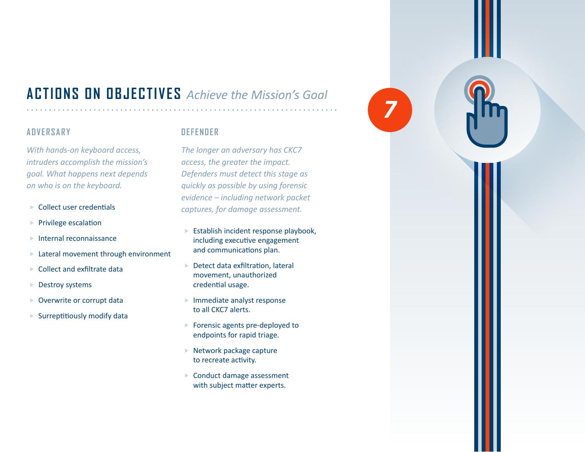### **ACTIONS ON OBJECTIVES** *Achieve the Mission's Goal*

#### **ADVERSARY**

*With hands-on keyboard access, intruders accomplish the mission's goal. What happens next depends on who is on the keyboard.*

- $\blacktriangleright$  Collect user credentials
- $\blacktriangleright$  Privilege escalation
- $\blacktriangleright$  Internal reconnaissance
- $\blacktriangleright$  Lateral movement through environment
- $\blacktriangleright$  Collect and exfiltrate data
- $\blacktriangleright$  Destroy systems
- $\triangleright$  Overwrite or corrupt data
- $\blacktriangleright$  Surreptitiously modify data

#### **DEFENDER**

*The longer an adversary has CKC7 access, the greater the impact. Defenders must detect this stage as quickly as possible by using forensic evidence – including network packet captures, for damage assessment.*

- $\blacktriangleright$  Establish incident response playbook, including executive engagement and communications plan.
- $\blacktriangleright$  Detect data exfiltration, lateral movement, unauthorized credential usage.
- $\blacktriangleright$  Immediate analyst response to all CKC7 alerts.
- $\blacktriangleright$  Forensic agents pre-deployed to endpoints for rapid triage.
- $\blacktriangleright$  Network package capture to recreate activity.
- $\blacktriangleright$  Conduct damage assessment with subject matter experts.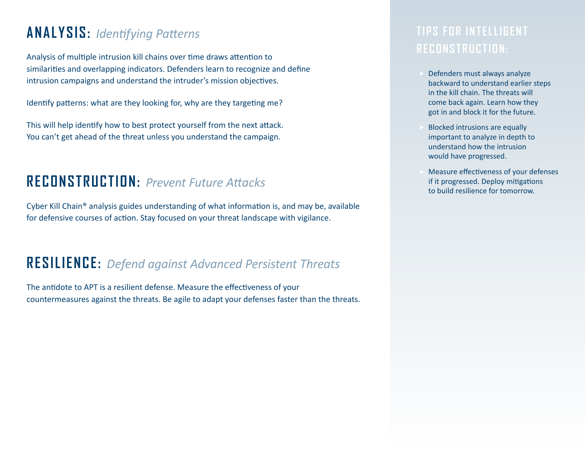### **ANALYSIS:** *Identifying Patterns*

Analysis of multiple intrusion kill chains over time draws attention to similarities and overlapping indicators. Defenders learn to recognize and define intrusion campaigns and understand the intruder's mission objectives.

Identify patterns: what are they looking for, why are they targeting me?

This will help identify how to best protect yourself from the next attack. You can't get ahead of the threat unless you understand the campaign.

### **RECONSTRUCTION:** *Prevent Future Attacks*

Cyber Kill Chain® analysis guides understanding of what information is, and may be, available for defensive courses of action. Stay focused on your threat landscape with vigilance.

### **RESILIENCE:** *Defend against Advanced Persistent Threats*

The antidote to APT is a resilient defense. Measure the effectiveness of your countermeasures against the threats. Be agile to adapt your defenses faster than the threats.

### **TIPS FOR INTELLIGENT RECONSTRUCTION:**

- Defenders must always analyze backward to understand earlier steps in the kill chain. The threats will come back again. Learn how they got in and block it for the future.
- Blocked intrusions are equally important to analyze in depth to understand how the intrusion would have progressed.
- Measure effectiveness of your defenses if it progressed. Deploy mitigations to build resilience for tomorrow.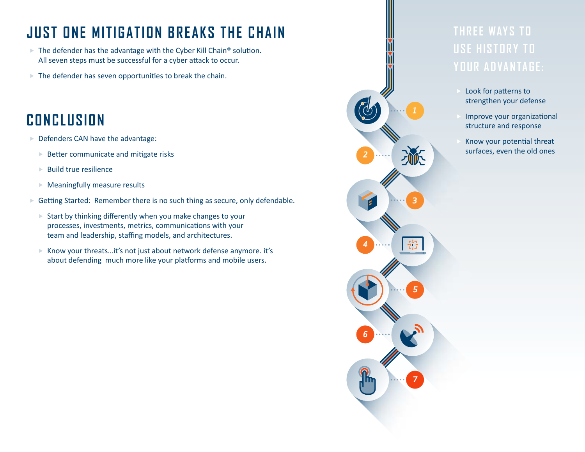### **JUST ONE MITIGATION BREAKS THE CHAIN**

- $\blacktriangleright$  The defender has the advantage with the Cyber Kill Chain® solution. All seven steps must be successful for a cyber attack to occur.
- $\blacktriangleright$  The defender has seven opportunities to break the chain.

### **CONCLUSION**

- $\blacktriangleright$  Defenders CAN have the advantage:
	- $\blacktriangleright$  Better communicate and mitigate risks
	- $\blacktriangleright$  Build true resilience
	- $\blacktriangleright$  Meaningfully measure results
- $\blacktriangleright$  Getting Started: Remember there is no such thing as secure, only defendable.
	- $\blacktriangleright$  Start by thinking differently when you make changes to your processes, investments, metrics, communications with your team and leadership, staffing models, and architectures.
	- $\triangleright$  Know your threats...it's not just about network defense anymore. it's about defending much more like your platforms and mobile users.

## **THREE WAYS TO USE HISTORY TO**

- Look for patterns to strengthen your defense
- Improve your organizational structure and response
	- Know your potential threat surfaces, even the old ones

*2*

*4*

*6*

*3*

뜒

*5*